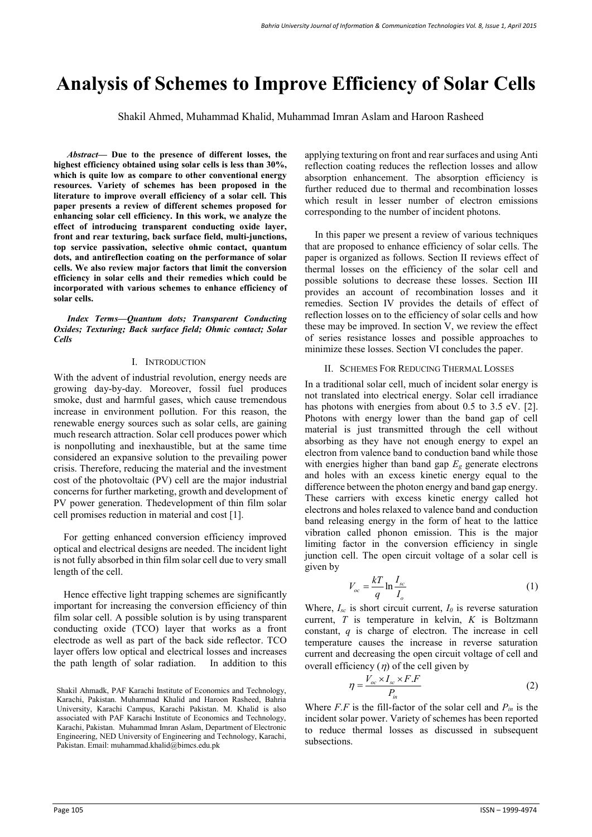# **Analysis of Schemes to Improve Efficiency of Solar Cells**

Shakil Ahmed, Muhammad Khalid, Muhammad Imran Aslam and Haroon Rasheed

*Abstract—* **Due to the presence of different losses, the highest efficiency obtained using solar cells is less than 30%, which is quite low as compare to other conventional energy resources. Variety of schemes has been proposed in the literature to improve overall efficiency of a solar cell. This paper presents a review of different schemes proposed for enhancing solar cell efficiency. In this work, we analyze the effect of introducing transparent conducting oxide layer, front and rear texturing, back surface field, multi-junctions, top service passivation, selective ohmic contact, quantum dots, and antireflection coating on the performance of solar cells. We also review major factors that limit the conversion efficiency in solar cells and their remedies which could be incorporated with various schemes to enhance efficiency of solar cells.**

*Index Terms—Quantum dots; Transparent Conducting Oxides; Texturing; Back surface field; Ohmic contact; Solar Cells* 

## I. INTRODUCTION

With the advent of industrial revolution, energy needs are growing day-by-day. Moreover, fossil fuel produces smoke, dust and harmful gases, which cause tremendous increase in environment pollution. For this reason, the renewable energy sources such as solar cells, are gaining much research attraction. Solar cell produces power which is nonpolluting and inexhaustible, but at the same time considered an expansive solution to the prevailing power crisis. Therefore, reducing the material and the investment cost of the photovoltaic (PV) cell are the major industrial concerns for further marketing, growth and development of PV power generation. Thedevelopment of thin film solar cell promises reduction in material and cost [1].

For getting enhanced conversion efficiency improved optical and electrical designs are needed. The incident light is not fully absorbed in thin film solar cell due to very small length of the cell.

Hence effective light trapping schemes are significantly important for increasing the conversion efficiency of thin film solar cell. A possible solution is by using transparent conducting oxide (TCO) layer that works as a front electrode as well as part of the back side reflector. TCO layer offers low optical and electrical losses and increases the path length of solar radiation. In addition to this applying texturing on front and rear surfaces and using Anti reflection coating reduces the reflection losses and allow absorption enhancement. The absorption efficiency is further reduced due to thermal and recombination losses which result in lesser number of electron emissions corresponding to the number of incident photons.

 In this paper we present a review of various techniques that are proposed to enhance efficiency of solar cells. The paper is organized as follows. Section II reviews effect of thermal losses on the efficiency of the solar cell and possible solutions to decrease these losses. Section III provides an account of recombination losses and it remedies. Section IV provides the details of effect of reflection losses on to the efficiency of solar cells and how these may be improved. In section V, we review the effect of series resistance losses and possible approaches to minimize these losses. Section VI concludes the paper.

## II. SCHEMES FOR REDUCING THERMAL LOSSES

In a traditional solar cell, much of incident solar energy is not translated into electrical energy. Solar cell irradiance has photons with energies from about 0.5 to 3.5 eV. [2]. Photons with energy lower than the band gap of cell material is just transmitted through the cell without absorbing as they have not enough energy to expel an electron from valence band to conduction band while those with energies higher than band gap  $E_g$  generate electrons and holes with an excess kinetic energy equal to the difference between the photon energy and band gap energy. These carriers with excess kinetic energy called hot electrons and holes relaxed to valence band and conduction band releasing energy in the form of heat to the lattice vibration called phonon emission. This is the major limiting factor in the conversion efficiency in single junction cell. The open circuit voltage of a solar cell is given by

$$
V_{oc} = \frac{kT}{q} \ln \frac{I_{sc}}{I_o} \tag{1}
$$

Where,  $I_{sc}$  is short circuit current,  $I_0$  is reverse saturation current, *T* is temperature in kelvin, *K* is Boltzmann constant, *q* is charge of electron. The increase in cell temperature causes the increase in reverse saturation current and decreasing the open circuit voltage of cell and overall efficiency  $(\eta)$  of the cell given by

$$
\eta = \frac{V_{oc} \times I_{sc} \times F.F}{P_{in}}
$$
 (2)

Where  $F.F$  is the fill-factor of the solar cell and  $P_{in}$  is the incident solar power. Variety of schemes has been reported to reduce thermal losses as discussed in subsequent subsections.

Shakil Ahmadk, PAF Karachi Institute of Economics and Technology, Karachi, Pakistan. Muhammad Khalid and Haroon Rasheed, Bahria University, Karachi Campus, Karachi Pakistan. M. Khalid is also associated with PAF Karachi Institute of Economics and Technology, Karachi, Pakistan. Muhammad Imran Aslam, Department of Electronic Engineering, NED University of Engineering and Technology, Karachi, Pakistan. Email: muhammad.khalid@bimcs.edu.pk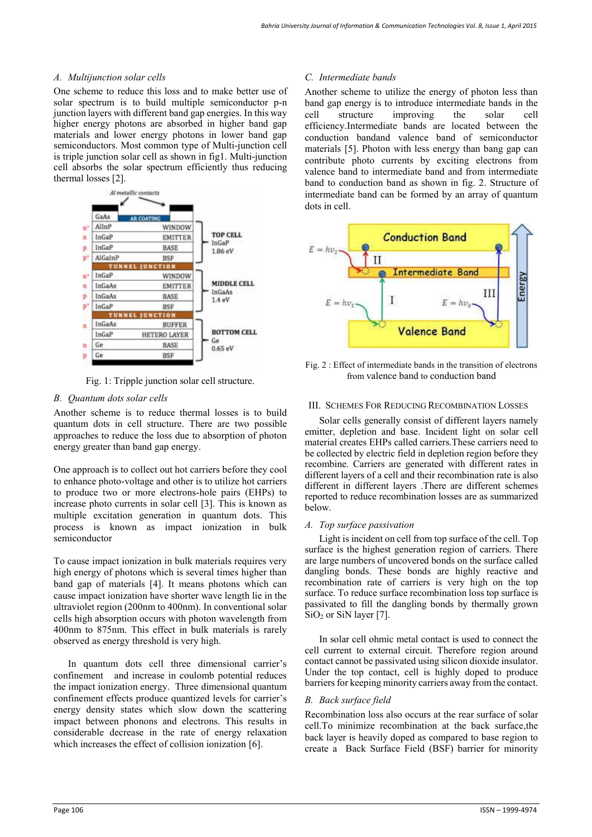## *A. Multijunction solar cells*

One scheme to reduce this loss and to make better use of solar spectrum is to build multiple semiconductor p-n junction layers with different band gap energies. In this way higher energy photons are absorbed in higher band gap materials and lower energy photons in lower band gap semiconductors. Most common type of Multi-junction cell is triple junction solar cell as shown in fig1. Multi-junction cell absorbs the solar spectrum efficiently thus reducing thermal losses [2].



Fig. 1: Tripple junction solar cell structure.

# *B. Quantum dots solar cells*

Another scheme is to reduce thermal losses is to build quantum dots in cell structure. There are two possible approaches to reduce the loss due to absorption of photon energy greater than band gap energy.

One approach is to collect out hot carriers before they cool to enhance photo-voltage and other is to utilize hot carriers to produce two or more electrons-hole pairs (EHPs) to increase photo currents in solar cell [3]. This is known as multiple excitation generation in quantum dots. This process is known as impact ionization in bulk semiconductor

To cause impact ionization in bulk materials requires very high energy of photons which is several times higher than band gap of materials [4]. It means photons which can cause impact ionization have shorter wave length lie in the ultraviolet region (200nm to 400nm). In conventional solar cells high absorption occurs with photon wavelength from 400nm to 875nm. This effect in bulk materials is rarely observed as energy threshold is very high.

In quantum dots cell three dimensional carrier's confinement and increase in coulomb potential reduces the impact ionization energy. Three dimensional quantum confinement effects produce quantized levels for carrier's energy density states which slow down the scattering impact between phonons and electrons. This results in considerable decrease in the rate of energy relaxation which increases the effect of collision ionization [6].

# *C. Intermediate bands*

Another scheme to utilize the energy of photon less than band gap energy is to introduce intermediate bands in the cell<br>
structure improving the solar cell cell structure improving the solar cell efficiency.Intermediate bands are located between the conduction bandand valence band of semiconductor materials [5]. Photon with less energy than bang gap can contribute photo currents by exciting electrons from valence band to intermediate band and from intermediate band to conduction band as shown in fig. 2. Structure of intermediate band can be formed by an array of quantum dots in cell.



Fig. 2 : Effect of intermediate bands in the transition of electrons from valence band to conduction band

# III. SCHEMES FOR REDUCING RECOMBINATION LOSSES

Solar cells generally consist of different layers namely emitter, depletion and base. Incident light on solar cell material creates EHPs called carriers.These carriers need to be collected by electric field in depletion region before they recombine. Carriers are generated with different rates in different layers of a cell and their recombination rate is also different in different layers .There are different schemes reported to reduce recombination losses are as summarized below.

# *A. Top surface passivation*

Light is incident on cell from top surface of the cell. Top surface is the highest generation region of carriers. There are large numbers of uncovered bonds on the surface called dangling bonds. These bonds are highly reactive and recombination rate of carriers is very high on the top surface. To reduce surface recombination loss top surface is passivated to fill the dangling bonds by thermally grown SiO<sub>2</sub> or SiN layer [7].

In solar cell ohmic metal contact is used to connect the cell current to external circuit. Therefore region around contact cannot be passivated using silicon dioxide insulator. Under the top contact, cell is highly doped to produce barriers for keeping minority carriers away from the contact.

# *B. Back surface field*

Recombination loss also occurs at the rear surface of solar cell.To minimize recombination at the back surface the back layer is heavily doped as compared to base region to create a Back Surface Field (BSF) barrier for minority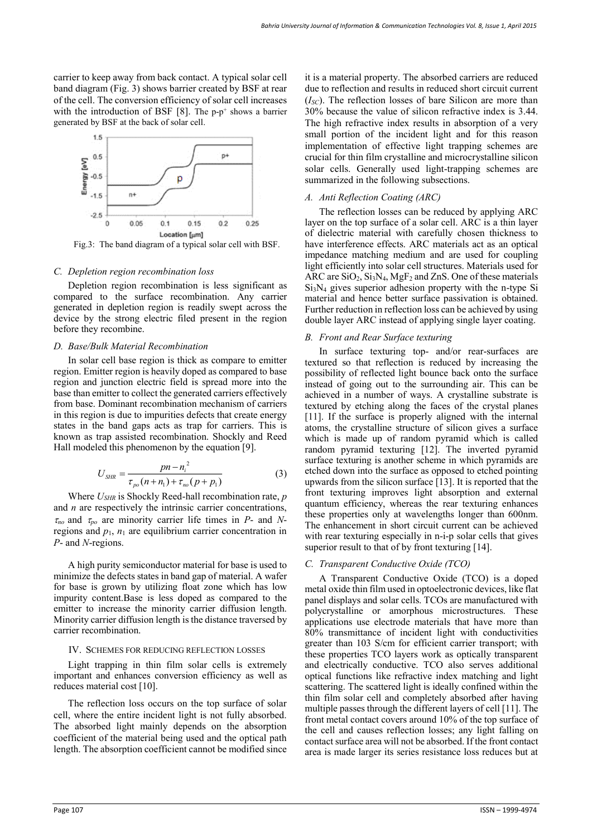carrier to keep away from back contact. A typical solar cell band diagram (Fig. 3) shows barrier created by BSF at rear of the cell. The conversion efficiency of solar cell increases with the introduction of BSF  $[8]$ . The p-p<sup>+</sup> shows a barrier generated by BSF at the back of solar cell.



Fig.3: The band diagram of a typical solar cell with BSF.

### *C. Depletion region recombination loss*

Depletion region recombination is less significant as compared to the surface recombination. Any carrier generated in depletion region is readily swept across the device by the strong electric filed present in the region before they recombine.

## *D. Base/Bulk Material Recombination*

In solar cell base region is thick as compare to emitter region. Emitter region is heavily doped as compared to base region and junction electric field is spread more into the base than emitter to collect the generated carriers effectively from base. Dominant recombination mechanism of carriers in this region is due to impurities defects that create energy states in the band gaps acts as trap for carriers. This is known as trap assisted recombination. Shockly and Reed Hall modeled this phenomenon by the equation [9].

$$
U_{SHR} = \frac{pn - n_i^2}{\tau_{po}(n + n_1) + \tau_{no}(p + p_1)}
$$
(3)

Where  $U_{SHR}$  is Shockly Reed-hall recombination rate, *p* and *n* are respectively the intrinsic carrier concentrations,  $\tau_{no}$  and  $\tau_{po}$  are minority carrier life times in *P*- and *N*regions and  $p_1$ ,  $n_1$  are equilibrium carrier concentration in *P*- and *N*-regions.

A high purity semiconductor material for base is used to minimize the defects states in band gap of material. A wafer for base is grown by utilizing float zone which has low impurity content.Base is less doped as compared to the emitter to increase the minority carrier diffusion length. Minority carrier diffusion length is the distance traversed by carrier recombination.

## IV. SCHEMES FOR REDUCING REFLECTION LOSSES

Light trapping in thin film solar cells is extremely important and enhances conversion efficiency as well as reduces material cost [10].

The reflection loss occurs on the top surface of solar cell, where the entire incident light is not fully absorbed. The absorbed light mainly depends on the absorption coefficient of the material being used and the optical path length. The absorption coefficient cannot be modified since

it is a material property. The absorbed carriers are reduced due to reflection and results in reduced short circuit current (*ISC*). The reflection losses of bare Silicon are more than 30% because the value of silicon refractive index is 3.44. The high refractive index results in absorption of a very small portion of the incident light and for this reason implementation of effective light trapping schemes are crucial for thin film crystalline and microcrystalline silicon solar cells. Generally used light-trapping schemes are summarized in the following subsections.

## *A. Anti Reflection Coating (ARC)*

The reflection losses can be reduced by applying ARC layer on the top surface of a solar cell. ARC is a thin layer of dielectric material with carefully chosen thickness to have interference effects. ARC materials act as an optical impedance matching medium and are used for coupling light efficiently into solar cell structures. Materials used for ARC are  $SiO_2$ ,  $Si_3N_4$ , MgF<sub>2</sub> and ZnS. One of these materials Si3N4 gives superior adhesion property with the n-type Si material and hence better surface passivation is obtained. Further reduction in reflection loss can be achieved by using double layer ARC instead of applying single layer coating.

## *B. Front and Rear Surface texturing*

In surface texturing top- and/or rear-surfaces are textured so that reflection is reduced by increasing the possibility of reflected light bounce back onto the surface instead of going out to the surrounding air. This can be achieved in a number of ways. A crystalline substrate is textured by etching along the faces of the crystal planes [11]. If the surface is properly aligned with the internal atoms, the crystalline structure of silicon gives a surface which is made up of random pyramid which is called random pyramid texturing [12]. The inverted pyramid surface texturing is another scheme in which pyramids are etched down into the surface as opposed to etched pointing upwards from the silicon surface [13]. It is reported that the front texturing improves light absorption and external quantum efficiency, whereas the rear texturing enhances these properties only at wavelengths longer than 600nm. The enhancement in short circuit current can be achieved with rear texturing especially in n-i-p solar cells that gives superior result to that of by front texturing [14].

### *C. Transparent Conductive Oxide (TCO)*

A Transparent Conductive Oxide (TCO) is a doped metal oxide thin film used in optoelectronic devices, like flat panel displays and solar cells. TCOs are manufactured with polycrystalline or amorphous microstructures. These applications use electrode materials that have more than 80% transmittance of incident light with conductivities greater than 103 S/cm for efficient carrier transport; with these properties TCO layers work as optically transparent and electrically conductive. TCO also serves additional optical functions like refractive index matching and light scattering. The scattered light is ideally confined within the thin film solar cell and completely absorbed after having multiple passes through the different layers of cell [11]. The front metal contact covers around 10% of the top surface of the cell and causes reflection losses; any light falling on contact surface area will not be absorbed. If the front contact area is made larger its series resistance loss reduces but at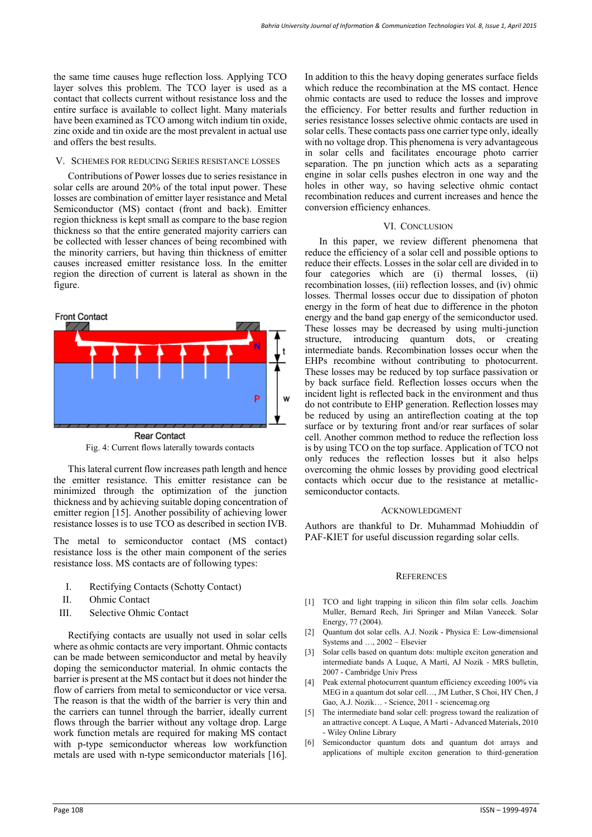the same time causes huge reflection loss. Applying TCO layer solves this problem. The TCO layer is used as a contact that collects current without resistance loss and the entire surface is available to collect light. Many materials have been examined as TCO among witch indium tin oxide, zinc oxide and tin oxide are the most prevalent in actual use and offers the best results.

## V. SCHEMES FOR REDUCING SERIES RESISTANCE LOSSES

Contributions of Power losses due to series resistance in solar cells are around 20% of the total input power. These losses are combination of emitter layer resistance and Metal Semiconductor (MS) contact (front and back). Emitter region thickness is kept small as compare to the base region thickness so that the entire generated majority carriers can be collected with lesser chances of being recombined with the minority carriers, but having thin thickness of emitter causes increased emitter resistance loss. In the emitter region the direction of current is lateral as shown in the figure.



Fig. 4: Current flows laterally towards contacts

This lateral current flow increases path length and hence the emitter resistance. This emitter resistance can be minimized through the optimization of the junction thickness and by achieving suitable doping concentration of emitter region [15]. Another possibility of achieving lower resistance losses is to use TCO as described in section IVB.

The metal to semiconductor contact (MS contact) resistance loss is the other main component of the series resistance loss. MS contacts are of following types:

- I. Rectifying Contacts (Schotty Contact)
- II. Ohmic Contact
- III. Selective Ohmic Contact

Rectifying contacts are usually not used in solar cells where as ohmic contacts are very important. Ohmic contacts can be made between semiconductor and metal by heavily doping the semiconductor material. In ohmic contacts the barrier is present at the MS contact but it does not hinder the flow of carriers from metal to semiconductor or vice versa. The reason is that the width of the barrier is very thin and the carriers can tunnel through the barrier, ideally current flows through the barrier without any voltage drop. Large work function metals are required for making MS contact with p-type semiconductor whereas low workfunction metals are used with n-type semiconductor materials [16].

In addition to this the heavy doping generates surface fields which reduce the recombination at the MS contact. Hence ohmic contacts are used to reduce the losses and improve the efficiency. For better results and further reduction in series resistance losses selective ohmic contacts are used in solar cells. These contacts pass one carrier type only, ideally with no voltage drop. This phenomena is very advantageous in solar cells and facilitates encourage photo carrier separation. The pn junction which acts as a separating engine in solar cells pushes electron in one way and the holes in other way, so having selective ohmic contact recombination reduces and current increases and hence the conversion efficiency enhances.

## VI. CONCLUSION

In this paper, we review different phenomena that reduce the efficiency of a solar cell and possible options to reduce their effects. Losses in the solar cell are divided in to four categories which are (i) thermal losses, (ii) recombination losses, (iii) reflection losses, and (iv) ohmic losses. Thermal losses occur due to dissipation of photon energy in the form of heat due to difference in the photon energy and the band gap energy of the semiconductor used. These losses may be decreased by using multi-junction structure, introducing quantum dots, or creating intermediate bands. Recombination losses occur when the EHPs recombine without contributing to photocurrent. These losses may be reduced by top surface passivation or by back surface field. Reflection losses occurs when the incident light is reflected back in the environment and thus do not contribute to EHP generation. Reflection losses may be reduced by using an antireflection coating at the top surface or by texturing front and/or rear surfaces of solar cell. Another common method to reduce the reflection loss is by using TCO on the top surface. Application of TCO not only reduces the reflection losses but it also helps overcoming the ohmic losses by providing good electrical contacts which occur due to the resistance at metallicsemiconductor contacts.

### ACKNOWLEDGMENT

Authors are thankful to Dr. Muhammad Mohiuddin of PAF-KIET for useful discussion regarding solar cells.

## **REFERENCES**

- [1] TCO and light trapping in silicon thin film solar cells. Joachim Muller, Bernard Rech, Jiri Springer and Milan Vanecek. Solar Energy, 77 (2004).
- Quantum dot solar cells. [A.J. Nozik](http://scholar.google.com/citations?user=Gv46Ak8AAAAJ&hl=en&oi=sra)  Physica E: Low-dimensional Systems and …, 2002 – Elsevier
- [3] Solar cells based on quantum dots: multiple exciton generation and [intermediate bands](http://journals.cambridge.org/abstract_S0883769400006928) A Luque, A Martí, [AJ Nozik](http://scholar.google.com/citations?user=Gv46Ak8AAAAJ&hl=en&oi=sra) - MRS bulletin, 2007 - Cambridge Univ Press
- [4] Peak external photocurrent quantum efficiency exceeding 100% via [MEG in a quantum dot solar cell…](http://www.sciencemag.org/content/334/6062/1530.short), [JM Luther,](http://scholar.google.com/citations?user=-mZYUzsAAAAJ&hl=en&oi=sra) [S Choi,](http://scholar.google.com/citations?user=YRPnglgAAAAJ&hl=en&oi=sra) HY Chen, J Gao, [A.J. Nozik…](http://scholar.google.com/citations?user=Gv46Ak8AAAAJ&hl=en&oi=sra) - Science, 2011 - sciencemag.org
- [5] The intermediate band solar cell: progress toward the realization of [an attractive concept.](http://onlinelibrary.wiley.com/doi/10.1002/adma.200902388/full) A Luque, A Martí - Advanced Materials, 2010 - Wiley Online Library
- [6] [Semiconductor quantum dots and quantum dot arrays and](http://pubs.acs.org/doi/pdf/10.1021/cr900289f)  [applications of multiple exciton generation to third-generation](http://pubs.acs.org/doi/pdf/10.1021/cr900289f)